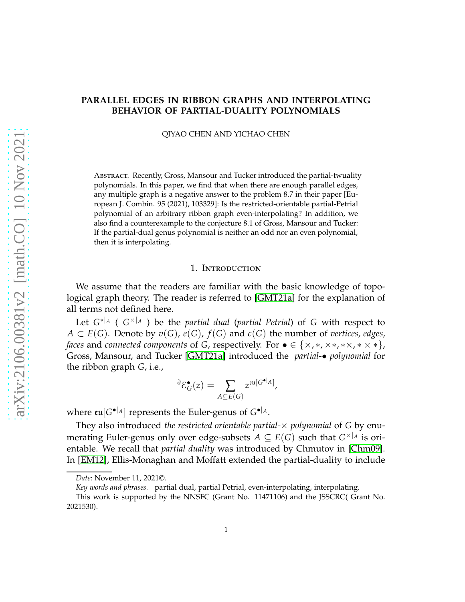# **PARALLEL EDGES IN RIBBON GRAPHS AND INTERPOLATING BEHAVIOR OF PARTIAL-DUALITY POLYNOMIALS**

QIYAO CHEN AND YICHAO CHEN

Abstract. Recently, Gross, Mansour and Tucker introduced the partial-twuality polynomials. In this paper, we find that when there are enough parallel edges, any multiple graph is a negative answer to the problem 8.7 in their paper [European J. Combin. 95 (2021), 103329]: Is the restricted-orientable partial-Petrial polynomial of an arbitrary ribbon graph even-interpolating? In addition, we also find a counterexample to the conjecture 8.1 of Gross, Mansour and Tucker: If the partial-dual genus polynomial is neither an odd nor an even polynomial, then it is interpolating.

## 1. Introduction

We assume that the readers are familiar with the basic knowledge of topological graph theory. The reader is referred to [\[GMT21a\]](#page-17-0) for the explanation of all terms not defined here.

Let *G* ∗|*<sup>A</sup>* ( *G* ×|*<sup>A</sup>* ) be the *partial dual* (*partial Petrial*) of *G* with respect to *A* ⊂ *E*(*G*). Denote by *v*(*G*), *e*(*G*), *f*(*G*) and *c*(*G*) the number of *vertices, edges, faces* and *connected components* of *G*, respectively. For  $\bullet \in \{x,*,x*,*,x*,*,x\}$ , Gross, Mansour, and Tucker [\[GMT21a\]](#page-17-0) introduced the *partial-*• *polynomial* for the ribbon graph *G*, i.e.,

$$
{}^{\partial}\mathcal{E}_{G}^{\bullet}(z) = \sum_{A \subseteq E(G)} z^{\mathfrak{eu}[G^{\bullet}|_A]},
$$

where  $\mathfrak{eu}[G^{\bullet}|_A]$  represents the Euler-genus of  $G^{\bullet}|_A$ .

They also introduced *the restricted orientable partial-*× *polynomial* of *G* by enumerating Euler-genus only over edge-subsets  $A \subseteq E(G)$  such that  $G^{\times|_A}$  is orientable. We recall that *partial duality* was introduced by Chmutov in [\[Chm09\]](#page-16-0). In [\[EM12\]](#page-16-1), Ellis-Monaghan and Moffatt extended the partial-duality to include

*Date*: November 11, 2021©.

*Key words and phrases.* partial dual, partial Petrial, even-interpolating, interpolating.

This work is supported by the NNSFC (Grant No. 11471106) and the JSSCRC( Grant No. 2021530).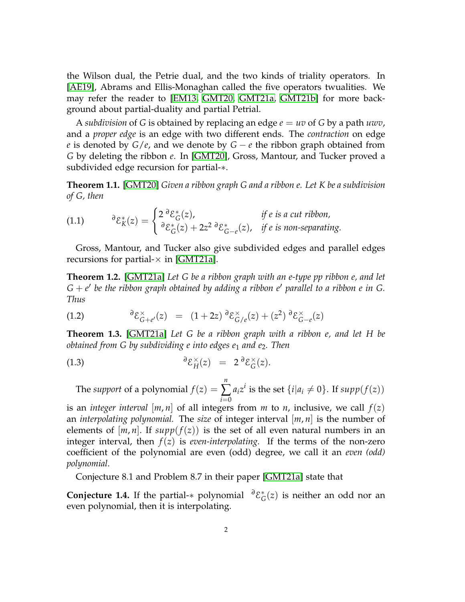the Wilson dual, the Petrie dual, and the two kinds of triality operators. In [\[AE19\]](#page-16-2), Abrams and Ellis-Monaghan called the five operators twualities. We may refer the reader to [\[EM13,](#page-16-3) [GMT20,](#page-16-4) [GMT21a,](#page-17-0) [GMT21b\]](#page-17-1) for more background about partial-duality and partial Petrial.

A *subdivision* of G is obtained by replacing an edge  $e = uv$  of G by a path  $uvw$ , and a *proper edge* is an edge with two different ends. The *contraction* on edge *e* is denoted by *G*/*e*, and we denote by *G* − *e* the ribbon graph obtained from *G* by deleting the ribbon *e*. In [\[GMT20\]](#page-16-4), Gross, Mantour, and Tucker proved a subdivided edge recursion for partial-∗.

<span id="page-1-0"></span>**Theorem 1.1.** [\[GMT20\]](#page-16-4) *Given a ribbon graph G and a ribbon e. Let K be a subdivision of G, then*

<span id="page-1-1"></span>(1.1) 
$$
{}^{\partial} \mathcal{E}_K^*(z) = \begin{cases} 2 \, {}^{\partial} \mathcal{E}_G^*(z), & \text{if } e \text{ is a cut ribbon,} \\ {}^{\partial} \mathcal{E}_G^*(z) + 2z^2 \, {}^{\partial} \mathcal{E}_{G-e}^*(z), & \text{if } e \text{ is non-separating.} \end{cases}
$$

Gross, Mantour, and Tucker also give subdivided edges and parallel edges recursions for partial- $\times$  in [\[GMT21a\]](#page-17-0).

**Theorem 1.2.** [\[GMT21a\]](#page-17-0) *Let G be a ribbon graph with an e-type pp ribbon e, and let G* + *e* ′ *be the ribbon graph obtained by adding a ribbon e*′ *parallel to a ribbon e in G. Thus*

(1.2) 
$$
\partial \mathcal{E}_{G+e'}^{\times}(z) = (1+2z) \partial \mathcal{E}_{G/e}^{\times}(z) + (z^2) \partial \mathcal{E}_{G-e}^{\times}(z)
$$

<span id="page-1-2"></span>**Theorem 1.3.** [\[GMT21a\]](#page-17-0) *Let G be a ribbon graph with a ribbon e, and let H be obtained from G by subdividing e into edges e*<sup>1</sup> *and e*2*. Then*

(1.3) 
$$
\qquad \qquad \partial \mathcal{E}_H^{\times}(z) = 2 \partial \mathcal{E}_G^{\times}(z).
$$

The *support* of a polynomial  $f(z) =$ *n* ∑ *i*=0  $a_i z^i$  is the set  $\{i | a_i \neq 0\}$ . If  $supp(f(z))$ 

is an *integer interval*  $[m, n]$  of all integers from *m* to *n*, inclusive, we call  $f(z)$ an *interpolating polynomial.* The *size* of integer interval [*m*, *n*] is the number of elements of  $[m, n]$ . If  $supp(f(z))$  is the set of all even natural numbers in an integer interval, then  $f(z)$  is *even-interpolating*. If the terms of the non-zero coefficient of the polynomial are even (odd) degree, we call it an *even (odd) polynomial*.

Conjecture 8.1 and Problem 8.7 in their paper [\[GMT21a\]](#page-17-0) state that

**Conjecture 1.4.** If the partial-∗ polynomial *<sup>∂</sup>*E ∗  $_G^*(z)$  is neither an odd nor an even polynomial, then it is interpolating.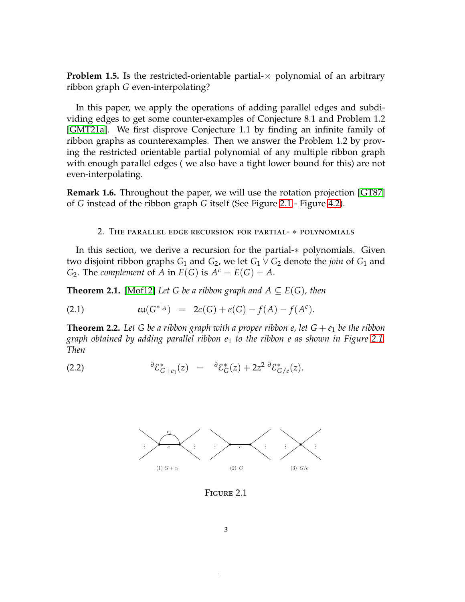**Problem 1.5.** Is the restricted-orientable partial- $\times$  polynomial of an arbitrary ribbon graph *G* even-interpolating?

In this paper, we apply the operations of adding parallel edges and subdividing edges to get some counter-examples of Conjecture 8.1 and Problem 1.2 [\[GMT21a\]](#page-17-0). We first disprove Conjecture 1.1 by finding an infinite family of ribbon graphs as counterexamples. Then we answer the Problem 1.2 by proving the restricted orientable partial polynomial of any multiple ribbon graph with enough parallel edges ( we also have a tight lower bound for this) are not even-interpolating.

**Remark 1.6.** Throughout the paper, we will use the rotation projection [\[GT87\]](#page-16-5) of *G* instead of the ribbon graph *G* itself (See Figure [2.1](#page-2-0) - Figure [4.2\)](#page-16-6).

## 2. The parallel edge recursion for partial- ∗ polynomials

In this section, we derive a recursion for the partial-∗ polynomials. Given two disjoint ribbon graphs  $G_1$  and  $G_2$ , we let  $G_1 \vee G_2$  denote the *join* of  $G_1$  and *G*<sub>2</sub>. The *complement* of *A* in  $E(G)$  is  $A^c = E(G) - A$ .

<span id="page-2-1"></span>**Theorem 2.1.** [\[Mof12\]](#page-17-2) *Let G be a ribbon graph and*  $A \subseteq E(G)$ *, then* 

<span id="page-2-2"></span>(2.1) 
$$
\mathfrak{eu}(G^{*|_A}) = 2c(G) + e(G) - f(A) - f(A^c).
$$

<span id="page-2-3"></span>**Theorem 2.2.** Let G be a ribbon graph with a proper ribbon e, let  $G + e_1$  be the ribbon *graph obtained by adding parallel ribbon e*<sup>1</sup> *to the ribbon e as shown in Figure [2.1.](#page-2-0) Then*

<span id="page-2-0"></span>(2.2) 
$$
\qquad \qquad \partial \mathcal{E}_{G+e_1}^*(z) = \qquad \partial \mathcal{E}_G^*(z) + 2z^2 \partial \mathcal{E}_{G/e}^*(z).
$$

<span id="page-2-4"></span>

Figure 2.1

1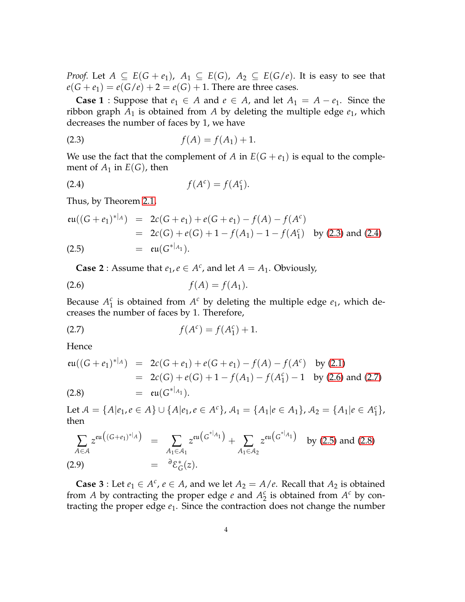*Proof.* Let  $A \subseteq E(G + e_1)$ ,  $A_1 \subseteq E(G)$ ,  $A_2 \subseteq E(G/e)$ . It is easy to see that  $e(G + e_1) = e(G/e) + 2 = e(G) + 1$ . There are three cases.

**Case 1** ∶ Suppose that  $e_1$  ∈ *A* and  $e$  ∈ *A*, and let  $A_1 = A - e_1$ . Since the ribbon graph  $A_1$  is obtained from  $A$  by deleting the multiple edge  $e_1$ , which decreases the number of faces by 1, we have

<span id="page-3-0"></span>(2.3) 
$$
f(A) = f(A_1) + 1.
$$

We use the fact that the complement of *A* in  $E(G + e_1)$  is equal to the complement of  $A_1$  in  $E(G)$ , then

<span id="page-3-1"></span>
$$
(2.4) \t f(Ac) = f(A1c).
$$

Thus, by Theorem [2.1,](#page-2-1)

<span id="page-3-4"></span>
$$
\mathfrak{eu}((G+e_1)^{*|_A}) = 2c(G+e_1) + e(G+e_1) - f(A) - f(A^c)
$$
  
= 2c(G) + e(G) + 1 - f(A\_1) - 1 - f(A\_1^c) by (2.3) and (2.4)  
(2.5) =  $\mathfrak{eu}(G^{*|_{A_1}}).$ 

<span id="page-3-2"></span>**Case 2** : Assume that  $e_1, e \in A^c$ , and let  $A = A_1$ . Obviously,

$$
(2.6) \t\t f(A) = f(A_1).
$$

Because  $A_1^c$  $I_1^c$  is obtained from  $A^c$  by deleting the multiple edge  $e_1$ , which decreases the number of faces by 1. Therefore,

<span id="page-3-3"></span>(2.7) 
$$
f(A^{c}) = f(A_{1}^{c}) + 1.
$$

**Hence** 

<span id="page-3-5"></span>
$$
\mathfrak{eu}((G+e_1)^{*|_A}) = 2c(G+e_1) + e(G+e_1) - f(A) - f(A^c) \text{ by (2.1)}
$$
  
= 2c(G) + e(G) + 1 - f(A\_1) - f(A\_1^c) - 1 \text{ by (2.6) and (2.7)}  
=  $\mathfrak{eu}(G^{*|_{A_1}}).$ 

Let  $A = \{A|e_1, e \in A\} \cup \{A|e_1, e \in A^c\}$ ,  $A_1 = \{A_1|e \in A_1\}$ ,  $A_2 = \{A_1|e \in A_1^c\}$  $\begin{smallmatrix} c \ 1 \end{smallmatrix}$ then

$$
\sum_{A \in \mathcal{A}} z^{\mathfrak{eu}((G+e_1)^{*|_A})} = \sum_{A_1 \in \mathcal{A}_1} z^{\mathfrak{eu}(G^{*|_{A_1}})} + \sum_{A_1 \in \mathcal{A}_2} z^{\mathfrak{eu}(G^{*|_{A_1}})} \text{ by (2.5) and (2.8)}
$$
\n
$$
(2.9) \qquad = \quad {}^{\partial} \mathcal{E}^*_{G}(z).
$$

**Case 3** : Let  $e_1 \in A^c$ ,  $e \in A$ , and we let  $A_2 = A/e$ . Recall that  $A_2$  is obtained from *A* by contracting the proper edge *e* and  $A_2^c$  $\frac{c}{2}$  is obtained from  $A^c$  by contracting the proper edge *e*1. Since the contraction does not change the number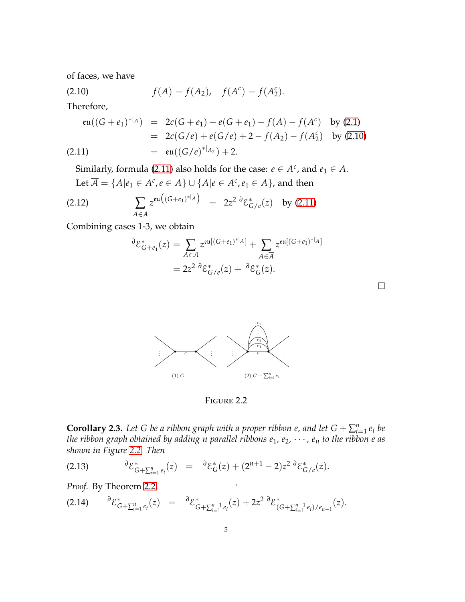of faces, we have

<span id="page-4-0"></span>(2.10) 
$$
f(A) = f(A_2), \quad f(A^c) = f(A_2^c).
$$

Therefore,

<span id="page-4-1"></span>
$$
\mathfrak{eu}((G+e_1)^{*|_A}) = 2c(G+e_1) + e(G+e_1) - f(A) - f(A^c) \text{ by (2.1)}
$$
  
= 2c(G/e) + e(G/e) + 2 - f(A<sub>2</sub>) - f(A<sub>2</sub><sup>c</sup>) by (2.10)  
= 
$$
\mathfrak{eu}((G/e)^{*|_{A_2}}) + 2.
$$

Similarly, formula [\(2.11\)](#page-4-1) also holds for the case:  $e \in A^c$ , and  $e_1 \in A$ . Let  $\overline{A} = \{A | e_1 \in A^c, e \in A\} \cup \{A | e \in A^c, e_1 \in A\}$ , and then

(2.12) 
$$
\sum_{A \in \overline{\mathcal{A}}} z^{\mathfrak{eu}((G+e_1)^{*|_A})} = 2z^2 \, \partial \mathcal{E}_{G/e}^{*}(z) \quad \text{by (2.11)}
$$

<span id="page-4-2"></span>Combining cases 1-3, we obtain

$$
\partial \mathcal{E}_{G+e_1}^*(z) = \sum_{A \in \mathcal{A}} z^{\mathfrak{eu}[(G+e_1)^*|A]} + \sum_{A \in \overline{\mathcal{A}}} z^{\mathfrak{eu}[(G+e_1)^*|A]}
$$
  
=  $2z^2 \partial \mathcal{E}_{G/e}^*(z) + \partial \mathcal{E}_G^*(z).$ 

 $\Box$ 



Figure 2.2

<span id="page-4-5"></span>**Corollary 2.3.** Let G be a ribbon graph with a proper ribbon e, and let  $G + \sum_{i=1}^{n} e_i$  be *the ribbon graph obtained by adding n parallel ribbons*  $e_1$ *,*  $e_2$ *,*  $\cdots$ *,*  $e_n$  *to the ribbon e as shown in Figure [2.2.](#page-4-2) Then*

1

<span id="page-4-4"></span>
$$
(2.13) \qquad \qquad \partial \mathcal{E}^*_{G+\sum_{i=1}^n e_i}(z) \;\; = \;\; \partial \mathcal{E}^*_{G}(z) + (2^{n+1}-2)z^2 \partial \mathcal{E}^*_{G/e}(z).
$$

*Proof.* By Theorem [2.2,](#page-2-3)

<span id="page-4-3"></span>
$$
(2.14) \qquad {}^{\partial} {\mathcal E}_{G+\sum_{i=1}^n e_i}^*(z) = \qquad {}^{\partial} {\mathcal E}_{G+\sum_{i=1}^{n-1} e_i}^*(z) + 2z^2 \, {}^{\partial} {\mathcal E}_{(G+\sum_{i=1}^{n-1} e_i)/e_{n-1}}^*(z).
$$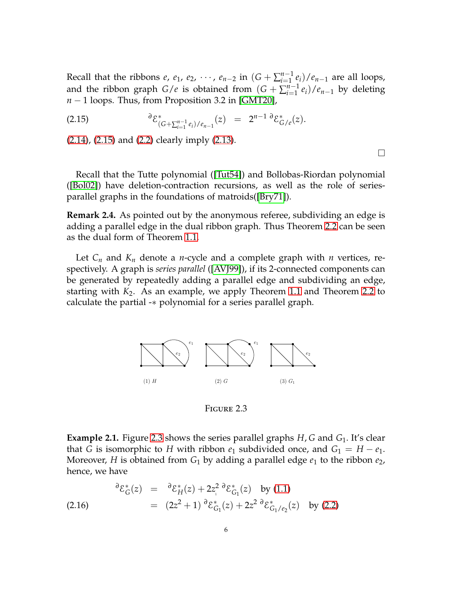Recall that the ribbons  $e$ ,  $e_1$ ,  $e_2$ ,  $\dots$ ,  $e_{n-2}$  in  $(G + \sum_{i=1}^{n-1}$  $\binom{n-1}{i=1}$  *e*<sub>*i*</sub>)/*e*<sub>*n*−1</sub> are all loops, and the ribbon graph *G*/*e* is obtained from  $(G + \sum_{i=1}^{n-1}$  $\binom{n-1}{i-1}$ *e*<sup>*i*</sup>)/*e*<sub>*n*−1</sub> by deleting *n* − 1 loops. Thus, from Proposition 3.2 in [\[GMT20\]](#page-16-4),

<span id="page-5-0"></span>(2.15) 
$$
\qquad \qquad \partial \mathcal{E}^*_{(G+\sum_{i=1}^{n-1} e_i)/e_{n-1}}(z) = 2^{n-1} \partial \mathcal{E}^*_{G/e}(z).
$$

[\(2.14\)](#page-4-3), [\(2.15\)](#page-5-0) and [\(2.2\)](#page-2-4) clearly imply [\(2.13\)](#page-4-4).

 $\Box$ 

Recall that the Tutte polynomial ([\[Tut54\]](#page-17-3)) and Bollobas-Riordan polynomial ([\[Bol02\]](#page-16-7)) have deletion-contraction recursions, as well as the role of seriesparallel graphs in the foundations of matroids([\[Bry71\]](#page-16-8)).

**Remark 2.4.** As pointed out by the anonymous referee, subdividing an edge is adding a parallel edge in the dual ribbon graph. Thus Theorem [2.2](#page-2-3) can be seen as the dual form of Theorem [1.1.](#page-1-0)

<span id="page-5-1"></span>Let *C<sup>n</sup>* and *K<sup>n</sup>* denote a *n*-cycle and a complete graph with *n* vertices, respectively. A graph is *series parallel* ([\[AVJ99\]](#page-16-9)), if its 2-connected components can be generated by repeatedly adding a parallel edge and subdividing an edge, starting with *K*2. As an example, we apply Theorem [1.1](#page-1-0) and Theorem [2.2](#page-2-3) to calculate the partial -∗ polynomial for a series parallel graph.



Figure 2.3

**Example 2.1.** Figure [2.3](#page-5-1) shows the series parallel graphs *H*, *G* and *G*1. It's clear that *G* is isomorphic to *H* with ribbon  $e_1$  subdivided once, and  $G_1 = H - e_1$ . Moreover, *H* is obtained from *G*<sup>1</sup> by adding a parallel edge *e*<sup>1</sup> to the ribbon *e*2, hence, we have

<span id="page-5-2"></span>(2.16) 
$$
\partial \mathcal{E}_{G}^{*}(z) = \partial \mathcal{E}_{H}^{*}(z) + 2z_{1}^{2} \partial \mathcal{E}_{G_{1}}^{*}(z) \text{ by (1.1)}
$$

$$
= (2z^{2} + 1) \partial \mathcal{E}_{G_{1}}^{*}(z) + 2z^{2} \partial \mathcal{E}_{G_{1}/e_{2}}^{*}(z) \text{ by (2.2)}
$$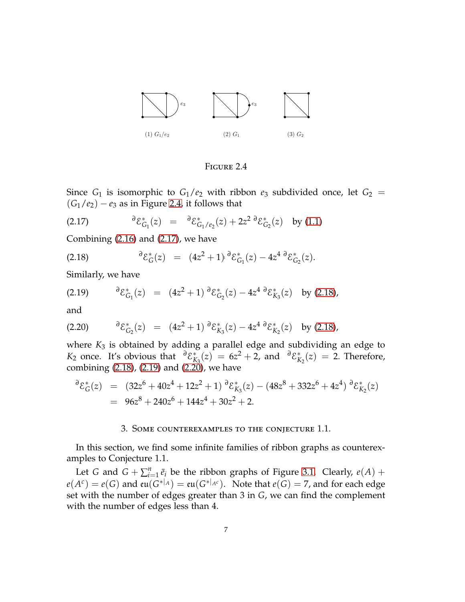<span id="page-6-0"></span>

Figure 2.4

Since  $G_1$  is isomorphic to  $G_1/e_2$  with ribbon  $e_3$  subdivided once, let  $G_2$  =  $(G_1/e_2) - e_3$  as in Figure [2.4,](#page-6-0) it follows that

<span id="page-6-1"></span>(2.17) 
$$
{}^{\partial} \mathcal{E}_{G_1}^*(z) = {}^{\partial} \mathcal{E}_{G_1/e_2}^*(z) + 2z^2 {}^{\partial} \mathcal{E}_{G_2}^*(z) \text{ by (1.1)}
$$

Combining [\(2.16\)](#page-5-2) and [\(2.17\)](#page-6-1), we have

<span id="page-6-2"></span>(2.18) 
$$
\qquad \qquad \partial \mathcal{E}_G^*(z) = (4z^2 + 1) \, \partial \mathcal{E}_{G_1}^*(z) - 4z^4 \, \partial \mathcal{E}_{G_2}^*(z).
$$

Similarly, we have

<span id="page-6-3"></span>(2.19) 
$$
\partial \mathcal{E}_{G_1}^*(z) = (4z^2 + 1) \partial \mathcal{E}_{G_2}^*(z) - 4z^4 \partial \mathcal{E}_{K_3}^*(z) \text{ by (2.18)},
$$

and

<span id="page-6-4"></span>(2.20) 
$$
\partial \mathcal{E}_{G_2}^*(z) = (4z^2 + 1) \partial \mathcal{E}_{K_3}^*(z) - 4z^4 \partial \mathcal{E}_{K_2}^*(z) \text{ by (2.18)},
$$

where *K*<sup>3</sup> is obtained by adding a parallel edge and subdividing an edge to *K*<sub>2</sub> once. It's obvious that  ${}^{\partial} {\mathcal{E}}_k^*$  $\chi_{K_3}^*(z) = 6z^2 + 2$ , and  $\partial \mathcal{E}_K^*$  $K_2(z) = 2$ . Therefore, combining  $(2.18)$ ,  $(2.19)$  and  $(2.20)$ , we have

$$
\delta \mathcal{E}_G^*(z) = (32z^6 + 40z^4 + 12z^2 + 1) \delta \mathcal{E}_{K_3}^*(z) - (48z^8 + 332z^6 + 4z^4) \delta \mathcal{E}_{K_2}^*(z)
$$
  
= 96z^8 + 240z^6 + 144z^4 + 30z^2 + 2.

#### 3. Some counterexamples to the conjecture 1.1.

In this section, we find some infinite families of ribbon graphs as counterexamples to Conjecture 1.1.

Let *G* and  $G + \sum_{i=1}^{n} \bar{e}_i$  be the ribbon graphs of Figure [3.1.](#page-7-0) Clearly,  $e(A)$  +  $e(A^c) = e(G)$  and  $e\mathfrak{u}(G^*|A) = e\mathfrak{u}(G^*|A^c)$ . Note that  $e(G) = 7$ , and for each edge set with the number of edges greater than 3 in *G*, we can find the complement with the number of edges less than 4.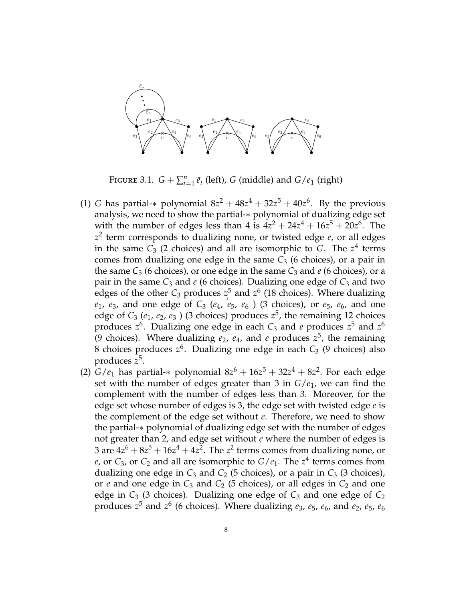<span id="page-7-0"></span>

FIGURE 3.1.  $G + \sum_{i=1}^{n} \bar{e}_i$  (left), *G* (middle) and  $G/e_1$  (right)

- edges of the other  $C_3$  produces  $z^5$  and  $z^6$  (18 choices). Where dualizing (1) *G* has partial-\* polynomial  $8z^2 + 48z^4 + 32z^5 + 40z^6$ . By the previous analysis, we need to show the partial-∗ polynomial of dualizing edge set with the number of edges less than 4 is  $4z^2 + 24z^4 + 16z^5 + 20z^6$ . The *z* 2 term corresponds to dualizing none, or twisted edge *e*, or all edges in the same  $C_3$  (2 choices) and all are isomorphic to  $G$ . The  $z^4$  terms comes from dualizing one edge in the same  $C_3$  (6 choices), or a pair in the same  $C_3$  (6 choices), or one edge in the same  $C_3$  and *e* (6 choices), or a pair in the same  $C_3$  and  $e$  (6 choices). Dualizing one edge of  $C_3$  and two  $e_1$ ,  $e_3$ , and one edge of  $C_3$  ( $e_4$ ,  $e_5$ ,  $e_6$ ) (3 choices), or  $e_5$ ,  $e_6$ , and one edge of  $C_3$  ( $e_1$ ,  $e_2$ ,  $e_3$ ) (3 choices) produces  $z^5$ , the remaining 12 choices produces *z* 6 . Dualizing one edge in each *C*<sup>3</sup> and *e* produces *z* <sup>5</sup> and *z* 6 (9 choices). Where dualizing  $e_2$ ,  $e_4$ , and  $e$  produces  $z^5$ , the remaining 8 choices produces *z* 6 . Dualizing one edge in each *C*<sup>3</sup> (9 choices) also produces *z* 5 .
- (2) *G*/ $e_1$  has partial-∗ polynomial  $8z^6 + 16z^5 + 32z^4 + 8z^2$ . For each edge set with the number of edges greater than 3 in *G*/*e*1, we can find the complement with the number of edges less than 3. Moreover, for the edge set whose number of edges is 3, the edge set with twisted edge *e* is the complement of the edge set without *e*. Therefore, we need to show the partial-∗ polynomial of dualizing edge set with the number of edges not greater than 2, and edge set without *e* where the number of edges is 3 are  $4z^6 + 8z^5 + 16z^4 + 4z^2$ . The  $z^2$  terms comes from dualizing none*,* or *e*, or  $C_3$ , or  $C_2$  and all are isomorphic to  $G/e_1$ . The  $z^4$  terms comes from dualizing one edge in  $C_3$  and  $C_2$  (5 choices), or a pair in  $C_3$  (3 choices), or  $e$  and one edge in  $C_3$  and  $C_2$  (5 choices), or all edges in  $C_2$  and one edge in  $C_3$  (3 choices). Dualizing one edge of  $C_3$  and one edge of  $C_2$ produces *z* <sup>5</sup> and *z* 6 (6 choices). Where dualizing *e*3, *e*5, *e*6, and *e*2, *e*5, *e*<sup>6</sup>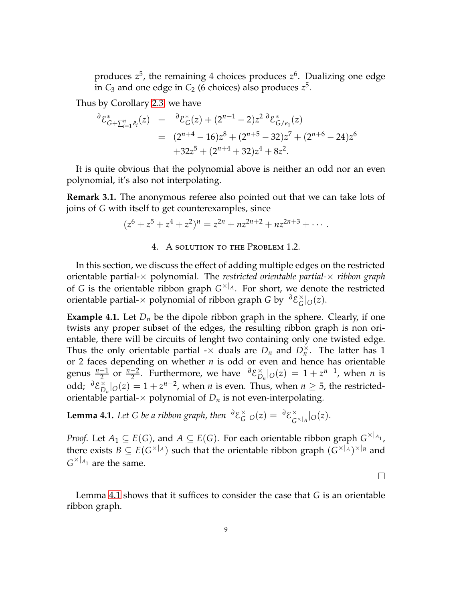produces *z* 5 , the remaining 4 choices produces *z* 6 . Dualizing one edge in  $C_3$  and one edge in  $C_2$  (6 choices) also produces  $z^5$ .

Thus by Corollary [2.3,](#page-4-5) we have

$$
\partial \mathcal{E}_{G+\sum_{i=1}^{n} \bar{e}_i}^{*}(z) = \partial \mathcal{E}_{G}^{*}(z) + (2^{n+1} - 2)z^2 \partial \mathcal{E}_{G/e_1}^{*}(z)
$$
  
= 
$$
(2^{n+4} - 16)z^8 + (2^{n+5} - 32)z^7 + (2^{n+6} - 24)z^6
$$

$$
+32z^5 + (2^{n+4} + 32)z^4 + 8z^2.
$$

It is quite obvious that the polynomial above is neither an odd nor an even polynomial, it's also not interpolating.

**Remark 3.1.** The anonymous referee also pointed out that we can take lots of joins of *G* with itself to get counterexamples, since

$$
(z6 + z5 + z4 + z2)n = z2n + nz2n+2 + nz2n+3 + \cdots
$$

4. A solution to the Problem 1.2.

In this section, we discuss the effect of adding multiple edges on the restricted orientable partial-× polynomial. The *restricted orientable partial-*× *ribbon graph* of *G* is the orientable ribbon graph *G* ×|*A*. For short, we denote the restricted orientable partial-× polynomial of ribbon graph *G* by *<sup>∂</sup>*E ×  $G$ | $O(z)$ .

<span id="page-8-1"></span>**Example 4.1.** Let  $D_n$  be the dipole ribbon graph in the sphere. Clearly, if one twists any proper subset of the edges, the resulting ribbon graph is non orientable, there will be circuits of lenght two containing only one twisted edge. Thus the only orientable partial  $-\times$  duals are  $D_n$  and  $D_n^{\times}$ . The latter has 1 or 2 faces depending on whether *n* is odd or even and hence has orientable genus  $\frac{n-1}{2}$  or  $\frac{n-2}{2}$ . Furthermore, we have  $\frac{\partial \mathcal{E}}{\partial D}$  $\sum_{n=0}^{\infty}$  |*O*(*z*) = 1 + *z*<sup>*n*−1</sup>, when *n* is odd; *<sup>∂</sup>*E ×  $\sum_{n=0}^{\infty}$   $|O(z)| = 1 + z^{n-2}$ , when *n* is even. Thus, when  $n \ge 5$ , the restrictedorientable partial- $\times$  polynomial of  $D_n$  is not even-interpolating.

<span id="page-8-0"></span>**Lemma 4.1.** Let G be a ribbon graph, then  $\partial \mathcal{E}_G^{\times}$  $\int_G^{\times}$ |*O*(*z*) =  $\partial \mathcal{E}_G^{\times}$  $\int_{G}^{\times}$ <sub>*A*</sub> |*O*(*z*).

*Proof.* Let  $A_1 \subseteq E(G)$ , and  $A \subseteq E(G)$ . For each orientable ribbon graph  $G^{\times|_{A_1}}$ , there exists  $B \subseteq E(G^{\times |A})$  such that the orientable ribbon graph  $(G^{\times |A})^{\times |B}$  and  $G^{\times|_{A_1}}$  are the same.

 $\Box$ 

Lemma [4.1](#page-8-0) shows that it suffices to consider the case that *G* is an orientable ribbon graph.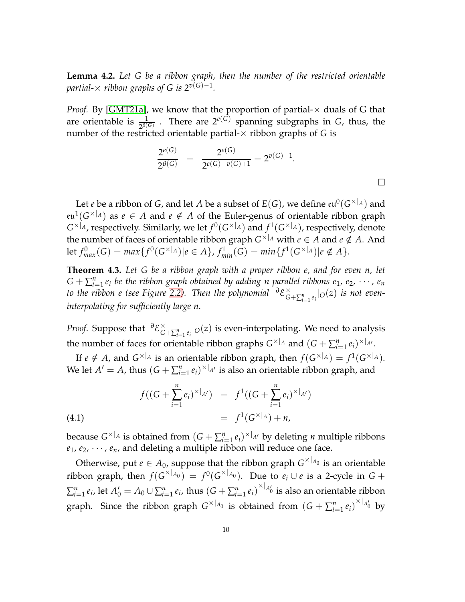<span id="page-9-1"></span>**Lemma 4.2.** *Let G be a ribbon graph, then the number of the restricted orientable* partial- $\times$  ribbon graphs of G is 2 $^{v(\mathrm{G})-1}.$ 

*Proof.* By [\[GMT21a\]](#page-17-0), we know that the proportion of partial- $\times$  duals of G that are orientable is  $\frac{1}{2^{\beta(G)}}$ . There are  $2^{e(G)}$  spanning subgraphs in *G*, thus, the number of the restricted orientable partial- $\times$  ribbon graphs of  $G$  is

$$
\frac{2^{e(G)}}{2^{\beta(G)}} = \frac{2^{e(G)}}{2^{e(G)-v(G)+1}} = 2^{v(G)-1}.
$$

Let  $e$  be a ribbon of  $G$ , and let  $A$  be a subset of  $E(G)$ , we define  $\mathfrak{e}\mathfrak{u}^0(G^{\times|_A})$  and  $eu^1(G^{\times|_A})$  as  $e \in A$  and  $e \notin A$  of the Euler-genus of orientable ribbon graph  $G^{\times|_A}$ , respectively. Similarly, we let  $f^0(G^{\times|_A})$  and  $f^1(G^{\times|_A})$ , respectively, denote the number of faces of orientable ribbon graph  $G^{\times|_A}$  with  $e \in A$  and  $e \notin A$ . And  $\text{let } f_{max}^0(G) = max\{f^0(G^{\times |A}) | e \in A\}, f_{min}^1(G) = min\{f^1(G^{\times |A}) | e \notin A\}.$ 

**Theorem 4.3.** *Let G be a ribbon graph with a proper ribbon e, and for even n, let*  $G + \sum_{i=1}^{n} e_i$  be the ribbon graph obtained by adding n parallel ribbons  $e_1, e_2, \cdots, e_n$ *to the ribbon e (see Figure* [2.2\)](#page-4-2). Then the polynomial  $\partial \mathcal{E}_{\mathcal{C}}^{\times}$  $\int_{G+\sum_{i=1}^n e_i}^{\times} |O(z)|$  *is not eveninterpolating for sufficiently large n.*

*Proof.* Suppose that <sup>∂</sup>*ε*<sup>×</sup><sub>*C*</sub>  $\int_{G+\sum_{i=1}^n e_i}^{\infty} |o(z)|$  is even-interpolating. We need to analysis *i*=1 the number of faces for orientable ribbon graphs  $G^{\times|A|}$  and  $(G + \sum_{i=1}^{n} e_i)^{\times|A'|}$ .

If  $e \notin A$ , and  $G^{\times |A|}$  is an orientable ribbon graph, then  $f(G^{\times |A}) = f^1(G^{\times |A})$ . We let  $A' = A$ , thus  $(G + \sum_{i=1}^{n} e_i)^{\times |A'|}$  is also an orientable ribbon graph, and

<span id="page-9-0"></span>(4.1) 
$$
f((G + \sum_{i=1}^{n} e_i)^{\times |_{A'}}) = f^1((G + \sum_{i=1}^{n} e_i)^{\times |_{A'}}) = f^1(G^{\times |_{A}}) + n,
$$

because  $G^{\times |A|}$  is obtained from  $(G + \sum_{i=1}^{n} e_i)^{\times |A|}$  by deleting *n* multiple ribbons  $e_1, e_2, \dots, e_n$ , and deleting a multiple ribbon will reduce one face.

Otherwise, put  $e \in A_0$ , suppose that the ribbon graph  $G^{\times|_{A_0}}$  is an orientable ribbon graph, then  $f(G^{\times |A_0}) = f^0(G^{\times |A_0})$ . Due to  $e_i \cup e$  is a 2-cycle in  $G +$  $\sum_{i=1}^{n} e_i$ , let  $A'_0 = A_0 \cup \sum_{i=1}^{n} e_i$ , thus  $(G + \sum_{i=1}^{n} e_i)^{\times |A'_0|}$  is also an orientable ribbon graph. Since the ribbon graph  $G^{\times |A_0|}$  is obtained from  $(G + \sum_{i=1}^n e_i)^{\times |A'_0|}$  by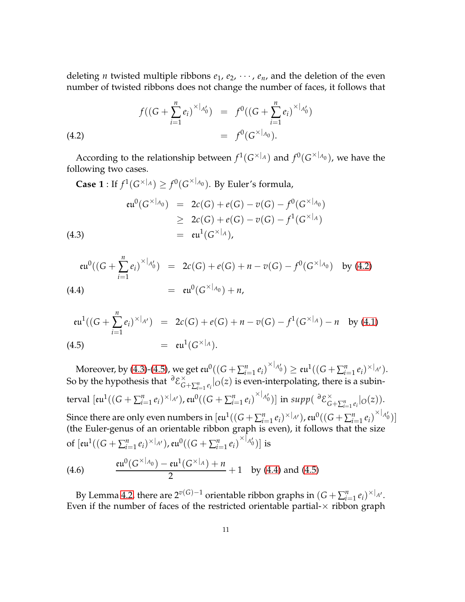deleting *n* twisted multiple ribbons  $e_1$ ,  $e_2$ ,  $\cdots$ ,  $e_n$ , and the deletion of the even number of twisted ribbons does not change the number of faces, it follows that

<span id="page-10-0"></span>(4.2) 
$$
f((G + \sum_{i=1}^{n} e_i)^{\times |A'_0}) = f^0((G + \sum_{i=1}^{n} e_i)^{\times |A'_0}) = f^0(G^{\times |A_0}).
$$

According to the relationship between  $f^1(G^{\times|_A})$  and  $f^0(G^{\times|_{A_0}})$ , we have the following two cases.

<span id="page-10-1"></span>**Case 1** : If  $f^1(G^{\times |A}) \geq f^0(G^{\times |A_0})$ . By Euler's formula,

(4.3)  
\n
$$
\begin{array}{rcl}\n\mathfrak{eu}^0(G^{\times |_{A_0}}) & = & 2c(G) + e(G) - v(G) - f^0(G^{\times |_{A_0}}) \\
& \geq & 2c(G) + e(G) - v(G) - f^1(G^{\times |_{A}}) \\
& = & \mathfrak{eu}^1(G^{\times |_{A}}),\n\end{array}
$$

<span id="page-10-3"></span>
$$
\mathfrak{eu}^0((G + \sum_{i=1}^n e_i)^{\times |_{A_0'}}) = 2c(G) + e(G) + n - v(G) - f^0(G^{\times |_{A_0}}) \text{ by (4.2)}
$$
\n
$$
(4.4) = \mathfrak{eu}^0(G^{\times |_{A_0}}) + n,
$$

<span id="page-10-2"></span>
$$
\mathfrak{eu}^1((G + \sum_{i=1}^n e_i)^{\times|_{A'}}) = 2c(G) + e(G) + n - v(G) - f^1(G^{\times|_{A}}) - n \text{ by (4.1)}
$$
\n
$$
(4.5) = \mathfrak{eu}^1(G^{\times|_{A}}).
$$

 $\text{Moreover, by (4.3)-(4.5), we get } \text{eu}^0((G + \sum_{i=1}^n e_i)^{\times|_{A_0'}}) \geq \text{eu}^1((G + \sum_{i=1}^n e_i)^{\times|_{A_1'}}).$  $\text{Moreover, by (4.3)-(4.5), we get } \text{eu}^0((G + \sum_{i=1}^n e_i)^{\times|_{A_0'}}) \geq \text{eu}^1((G + \sum_{i=1}^n e_i)^{\times|_{A_1'}}).$  $\text{Moreover, by (4.3)-(4.5), we get } \text{eu}^0((G + \sum_{i=1}^n e_i)^{\times|_{A_0'}}) \geq \text{eu}^1((G + \sum_{i=1}^n e_i)^{\times|_{A_1'}}).$  $\text{Moreover, by (4.3)-(4.5), we get } \text{eu}^0((G + \sum_{i=1}^n e_i)^{\times|_{A_0'}}) \geq \text{eu}^1((G + \sum_{i=1}^n e_i)^{\times|_{A_1'}}).$  $\text{Moreover, by (4.3)-(4.5), we get } \text{eu}^0((G + \sum_{i=1}^n e_i)^{\times|_{A_0'}}) \geq \text{eu}^1((G + \sum_{i=1}^n e_i)^{\times|_{A_1'}}).$ So by the hypothesis that *<sup>∂</sup>*E ×  $\int_{G+\sum_{i=1}^n e_i}^{\infty} |o(z)|$  is even-interpolating, there is a subin- $\mathfrak{g}(\mathsf{curl})\big((G + \sum_{i=1}^n e_i)^{\times|_{A'}}\big)$ ,  $\mathfrak{su}^0((G + \sum_{i=1}^n e_i)^{\times|_{A_0'}})\big]$  in  $\mathfrak{supp}(\ ^\partial \mathcal{E}_G^\times)$  $\int_{G}^{\infty}$  +  $\sum_{i=1}^{n} e_i$  |  $O(Z)$  ). Since there are only even numbers in  $[{\rm eu}^1((G + \sum_{i=1}^n e_i)^{\times|_{A'}}), {\rm eu}^0((G + \sum_{i=1}^n e_i)^{\times|_{A_0'}})]$ (the Euler-genus of an orientable ribbon graph is even), it follows that the size of  $[{\rm e} \mathfrak{u}^1((G + \sum_{i=1}^n e_i)^{\times|_{A'}}), {\rm e} \mathfrak{u}^0((G + \sum_{i=1}^n e_i)^{\times|_{A_0'}})]$  is

<span id="page-10-4"></span>(4.6) 
$$
\frac{\operatorname{eu}^0(G^{\times |_{A_0}}) - \operatorname{eu}^1(G^{\times |_{A}}) + n}{2} + 1 \text{ by (4.4) and (4.5)}
$$

By Lemma [4.2,](#page-9-1) there are  $2^{v(G)-1}$  orientable ribbon graphs in  $(G + \sum_{i=1}^{n} e_i)^{\times|_{A'}}$ . Even if the number of faces of the restricted orientable partial- $\times$  ribbon graph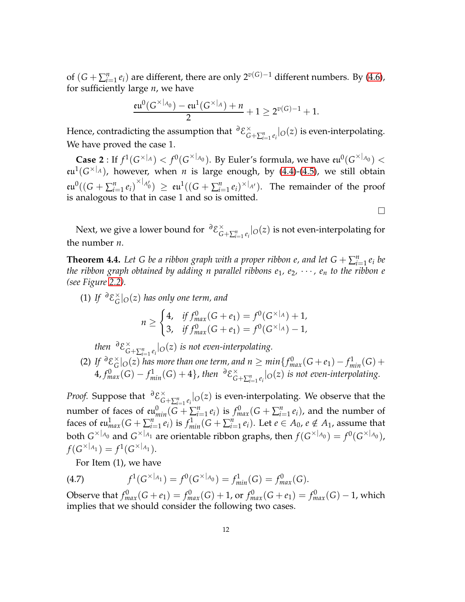of  $(G + \sum_{i=1}^{n} e_i)$  are different, there are only  $2^{\nu(G)-1}$  different numbers. By [\(4.6\)](#page-10-4), for sufficiently large *n*, we have

$$
\frac{\mathfrak{e} \mathfrak{u}^0(G^{\times |_{A_0}}) - \mathfrak{e} \mathfrak{u}^1(G^{\times |_{A}}) + n}{2} + 1 \geq 2^{v(G)-1} + 1.
$$

Hence*,* contradicting the assumption that  $\frac{\partial \mathcal{E}}{\partial \mathcal{E}}$  $\int_{G+\sum_{i=1}^n e_i}^{\infty} |O(z)|$  is even-interpolating. We have proved the case 1.

**Case 2** : If  $f^1(G^{\times|_A}) < f^0(G^{\times|_{A_0}})$ . By Euler's formula, we have  $\mathfrak{eu}^0(G^{\times|_{A_0}}) <$  $eu^1(G\times|_A)$ , however, when *n* is large enough, by [\(4.4\)](#page-10-3)-[\(4.5\)](#page-10-2), we still obtain  $\mathfrak{su}^0((G + \sum_{i=1}^n e_i)^{\times|_{A_0'}}) \geq \mathfrak{eu}^1((G + \sum_{i=1}^n e_i)^{\times|_{A'}}).$  The remainder of the proof is analogous to that in case 1 and so is omitted.

 $\Box$ 

Next, we give a lower bound for <sup>∂</sup>ε<sup>×</sup>  $\int_{G+\sum_{i=1}^n e_i}^{\infty} |o(z)|$  is not even-interpolating for the number *n*.

<span id="page-11-1"></span>**Theorem 4.4.** Let G be a ribbon graph with a proper ribbon e, and let  $G + \sum_{i=1}^{n} e_i$  be *the ribbon graph obtained by adding n parallel ribbons*  $e_1, e_2, \cdots, e_n$  *to the ribbon e (see Figure [2.2\)](#page-4-2).*

(1) *If*  $\partial \mathcal{E}_G^{\times}$ *G* |*O*(*z*) *has only one term, and*

$$
n \geq \begin{cases} 4, & \text{if } f_{\text{max}}^0(G + e_1) = f^0(G^{\times | A}) + 1, \\ 3, & \text{if } f_{\text{max}}^0(G + e_1) = f^0(G^{\times | A}) - 1, \end{cases}
$$

*then*  $\partial \mathcal{E}_{G}^{\times}$  $\int_{G+\sum_{i=1}^n e_i}^{\infty} |O(z)|$  *is not even-interpolating.* 

(2) *If*  $\partial$  ε  $\frac{\times}{G}$  $G^{\times}|_{O}(z)$  *has more than one term, and n*  $\geq min\{f_{max}^{0}(G+e_{1})-f_{min}^{1}(G)+\}$  $4, f_{max}^0(G) - f_{min}^1(G) + 4$ , then  $\partial \mathcal{E}_G^{\times}$  $\int_{G+\sum_{i=1}^n e_i}^{\infty} |O(z)|$  *is not even-interpolating.* 

*Proof.* Suppose that <sup>∂</sup>*ε*<sup>×</sup><sub>*C*</sub>  $\int_{G+\sum_{i=1}^n e_i}^{\infty} |O(z)|$  is even-interpolating. We observe that the number of faces of  $\mathfrak{eu}_{min}^0(G + \sum_{i=1}^n e_i)$  is  $f_{max}^0(G + \sum_{i=1}^n e_i)$ , and the number of faces of  $eu_{max}^1(G + \sum_{i=1}^n e_i)$  is  $f_{min}^1(G + \sum_{i=1}^n e_i)$ . Let  $e \in A_0$ ,  $e \notin A_1$ , assume that both  $G^{\times|_{A_0}}$  and  $G^{\times|_{A_1}}$  are orientable ribbon graphs, then  $f(G^{\times|_{A_0}})=f^0(G^{\times|_{A_0}})$ ,  $f(G^{\times |A_1}) = f^1(G^{\times |A_1}).$ 

<span id="page-11-0"></span>For Item (1), we have

(4.7) 
$$
f^1(G^{\times |_{A_1}}) = f^0(G^{\times |_{A_0}}) = f^1_{min}(G) = f^0_{max}(G).
$$

Observe that  $f_{max}^0(G + e_1) = f_{max}^0(G) + 1$ , or  $f_{max}^0(G + e_1) = f_{max}^0(G) - 1$ , which implies that we should consider the following two cases.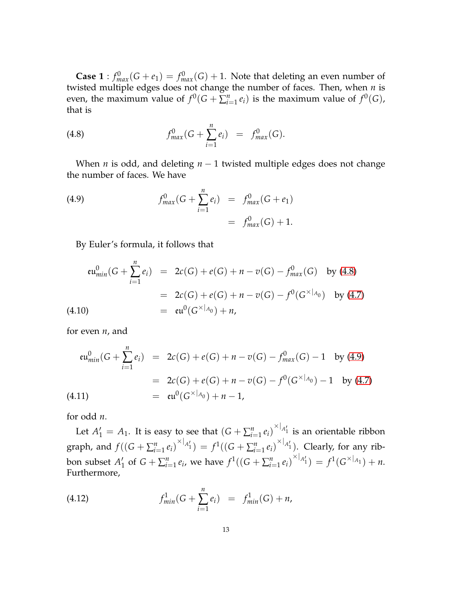**Case 1** :  $f_{max}^0(G + e_1) = f_{max}^0(G) + 1$ . Note that deleting an even number of twisted multiple edges does not change the number of faces. Then, when *n* is even, the maximum value of  $f^0(G + \sum_{i=1}^n e_i)$  is the maximum value of  $f^0(G)$ , that is

<span id="page-12-0"></span>(4.8) 
$$
f_{max}^0(G + \sum_{i=1}^n e_i) = f_{max}^0(G).
$$

When *n* is odd, and deleting *n* − 1 twisted multiple edges does not change the number of faces. We have

<span id="page-12-1"></span>(4.9) 
$$
f_{max}^0(G + \sum_{i=1}^n e_i) = f_{max}^0(G + e_1) = f_{max}^0(G) + 1.
$$

By Euler's formula, it follows that

<span id="page-12-4"></span>
$$
\begin{array}{rcl}\n\mathfrak{eu}_{min}^0(G + \sum_{i=1}^n e_i) & = & 2c(G) + e(G) + n - v(G) - f_{max}^0(G) \quad \text{by (4.8)} \\
& = & 2c(G) + e(G) + n - v(G) - f^0(G^{\times | A_0}) \quad \text{by (4.7)} \\
& = & \mathfrak{eu}^0(G^{\times | A_0}) + n,\n\end{array}
$$

for even *n*, and

<span id="page-12-3"></span>
$$
\begin{array}{rcl}\n\mathfrak{eu}_{min}^0(G + \sum_{i=1}^n e_i) & = & 2c(G) + e(G) + n - v(G) - f_{max}^0(G) - 1 \quad \text{by (4.9)} \\
& = & 2c(G) + e(G) + n - v(G) - f^0(G^{\times | A_0}) - 1 \quad \text{by (4.7)} \\
& = & \mathfrak{eu}^0(G^{\times | A_0}) + n - 1,\n\end{array}
$$

for odd *n*.

Let  $A'_1 = A_1$ . It is easy to see that  $(G + \sum_{i=1}^n e_i)^{\times |A'_1|}$  is an orientable ribbon graph, and  $f((G + \sum_{i=1}^{n} e_i)^{\times |A'_1}) = f^1((G + \sum_{i=1}^{n} e_i)^{\times |A'_1})$ . Clearly, for any ribbon subset *A* ′  $f_1$  of  $G + \sum_{i=1}^n e_i$ , we have  $f^1((G + \sum_{i=1}^n e_i)^{\times |A'_1|}) = f^1(G^{\times |A_1|}) + n$ . Furthermore,

<span id="page-12-2"></span>(4.12) 
$$
f_{min}^1(G + \sum_{i=1}^n e_i) = f_{min}^1(G) + n,
$$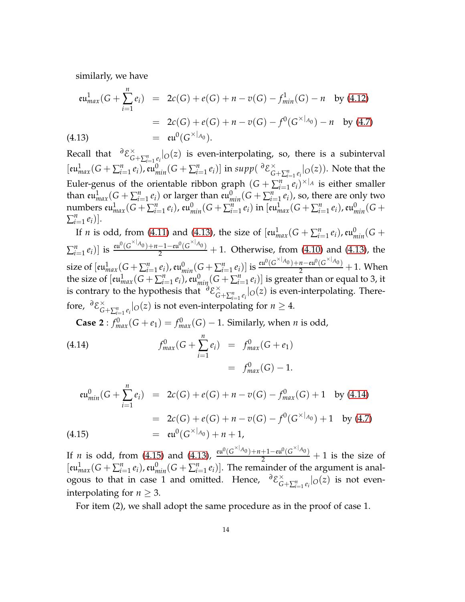similarly, we have

<span id="page-13-0"></span>
$$
\begin{array}{rcl}\n\mathfrak{eu}_{max}^1(G + \sum_{i=1}^n e_i) & = & 2c(G) + e(G) + n - v(G) - f_{min}^1(G) - n \quad \text{by (4.12)} \\
& = & 2c(G) + e(G) + n - v(G) - f^0(G^{\times | A_0}) - n \quad \text{by (4.7)} \\
& = & \mathfrak{eu}^0(G^{\times | A_0}).\n\end{array}
$$

Recall that <sup>∂</sup>ε<sup>×</sup>  $\int_{G+\sum_{i=1}^n e_i}^{\infty} |o(z)|$  is even-interpolating, so, there is a subinterval  $[\text{eu}^1_{max}(G + \sum_{i=1}^n e_i), \text{eu}^0_{min}(G + \sum_{i=1}^n e_i)]$  in  $supp(\partial \mathcal{E}_G^{\times})$  $\int_{G+\sum_{i=1}^n e_i}^{\times} |o(z)|$ . Note that the Euler-genus of the orientable ribbon graph  $(G + \sum_{i=1}^{n} e_i)^{\times |A|}$  is either smaller than  $\mathfrak{eu}_{max}^1(G + \sum_{i=1}^n e_i)$  or larger than  $\mathfrak{eu}_{min}^0(G + \sum_{i=1}^n e_i)$ , so, there are only two numbers  ${\rm eu}^1_{max}(G+\sum_{i=1}^n e_i)$ ,  ${\rm eu}^0_{min}(G+\sum_{i=1}^n e_i)$  in  $[{\rm eu}^1_{max}(G+\sum_{i=1}^n e_i)$ ,  ${\rm eu}^0_{min}(G+\sum_{i=1}^n e_i)$  $\sum_{i=1}^n e_i$ )].

If *n* is odd, from [\(4.11\)](#page-12-3) and [\(4.13\)](#page-13-0), the size of  $[\mathfrak{eu}_{max}^1(G + \sum_{i=1}^n e_i)$ ,  $\mathfrak{eu}_{min}^0(G +$  $\sum_{i=1}^{n} e_i$ )] is  $\frac{\text{eu}^0(G^{\times |A_0|}) + n - 1 - \text{eu}^0(G^{\times |A_0|})}{2}$  $\frac{2^{n}-1-1}{2}$  + 1. Otherwise, from [\(4.10\)](#page-12-4) and [\(4.13\)](#page-13-0), the size of  $[eu_{max}^1(G + \sum_{i=1}^n e_i)$ ,  $eu_{min}^0(G + \sum_{i=1}^n e_i)]$  is  $\frac{eu^0(G^{\times |A_0}) + n - eu^0(G^{\times |A_0})}{2}$  $\frac{n-\epsilon u^2(G-\epsilon_0)}{2}+1$ . When the size of  $[\mathfrak{eu}_{max}^1(G+\sum_{i=1}^n e_i)$ ,  $\mathfrak{eu}_{min}^0(G+\sum_{i=1}^n e_i)]$  is greater than or equal to 3, it is contrary to the hypothesis that <sup>∂</sup>ε<sup>×</sup>  $\int_{G+\sum_{i=1}^n e_i}^{\infty} |o(z)|$  is even-interpolating. Therefore, <sup>∂</sup>*E*<sup>×</sup>  $\int_{G+\sum_{i=1}^n e_i}^{\infty} |O(z)|$  is not even-interpolating for  $n \geq 4$ .

<span id="page-13-1"></span>**Case 2** :  $f_{max}^0(G + e_1) = f_{max}^0(G) - 1$ . Similarly, when *n* is odd,

(4.14) 
$$
f_{max}^0(G + \sum_{i=1}^n e_i) = f_{max}^0(G + e_1) = f_{max}^0(G) - 1.
$$

<span id="page-13-2"></span>
$$
\begin{array}{rcl}\n\mathfrak{eu}_{\text{min}}^0(G + \sum_{i=1}^n e_i) & = & 2c(G) + e(G) + n - v(G) - f_{\text{max}}^0(G) + 1 \quad \text{by (4.14)} \\
& = & 2c(G) + e(G) + n - v(G) - f^0(G^{\times | A_0}) + 1 \quad \text{by (4.7)} \\
& = & \mathfrak{eu}^0(G^{\times | A_0}) + n + 1,\n\end{array}
$$

If *n* is odd, from [\(4.15\)](#page-13-2) and [\(4.13\)](#page-13-0),  $\frac{\epsilon u^0 (G^{\times |A_0|}) + n + 1 - \epsilon u^0 (G^{\times |A_0|})}{2}$  $\frac{+1-\epsilon u^2(G^{\prime\prime}-0)}{2}+1$  is the size of  $[eu_{max}^1(G + \sum_{i=1}^n e_i), eu_{min}^0(G + \sum_{i=1}^n e_i)].$  The remainder of the argument is analogous to that in case 1 and omitted. Hence,  $\partial \mathcal{E}_{\alpha}^{\times}$  $\int_{G+\sum_{i=1}^n e_i}^{\infty} |O(z)|$  is not eveninterpolating for  $n \geq 3$ .

For item (2), we shall adopt the same procedure as in the proof of case 1.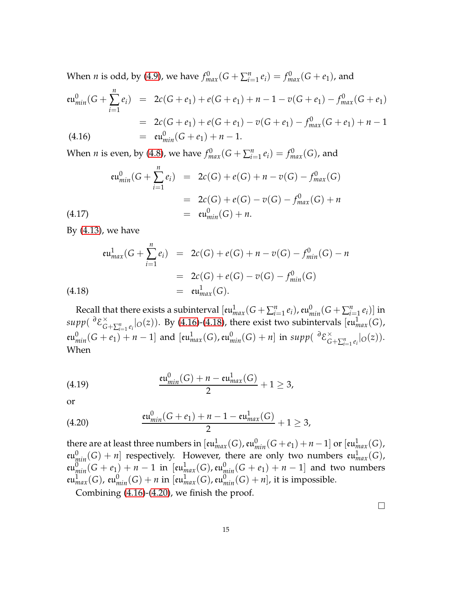When *n* is odd, by [\(4.9\)](#page-12-1), we have  $f_{max}^0(G + \sum_{i=1}^n e_i) = f_{max}^0(G + e_1)$ , and

<span id="page-14-0"></span>
$$
\mathfrak{eu}_{min}^{0}(G + \sum_{i=1}^{n} e_i) = 2c(G + e_1) + e(G + e_1) + n - 1 - v(G + e_1) - f_{max}^{0}(G + e_1)
$$
  
= 2c(G + e\_1) + e(G + e\_1) - v(G + e\_1) - f\_{max}^{0}(G + e\_1) + n - 1  
(4.16) =  $\mathfrak{eu}_{min}^{0}(G + e_1) + n - 1$ .

When *n* is even, by [\(4.8\)](#page-12-0), we have  $f_{max}^0(G + \sum_{i=1}^n e_i) = f_{max}^0(G)$ , and

$$
\begin{aligned}\n\mathfrak{eu}_{min}^0(G + \sum_{i=1}^n e_i) &= 2c(G) + e(G) + n - v(G) - f_{max}^0(G) \\
&= 2c(G) + e(G) - v(G) - f_{max}^0(G) + n \\
&= \mathfrak{eu}_{min}^0(G) + n.\n\end{aligned}
$$
\n(4.17)

By [\(4.13\)](#page-13-0), we have

<span id="page-14-1"></span>
$$
\begin{array}{rcl}\n\mathfrak{eu}_{max}^1(G + \sum_{i=1}^n e_i) & = & 2c(G) + e(G) + n - v(G) - f_{min}^0(G) - n \\
& = & 2c(G) + e(G) - v(G) - f_{min}^0(G) \\
& = & \mathfrak{eu}_{max}^1(G).\n\end{array}
$$
\n(4.18)

Recall that there exists a subinterval  $[\text{eu}^1_{max}(G + \sum_{i=1}^n e_i)$ ,  $\text{eu}^0_{min}(G + \sum_{i=1}^n e_i)]$  in *supp*( *∂*E ×  $\chi^{\times}_{G + \sum_{i=1}^{n} e_i}$  o(*z*)). By [\(4.16\)](#page-14-0)-[\(4.18\)](#page-14-1), there exist two subintervals [ $eu^1_{max}(G)$ ,  $\mathfrak{su}_{min}^0(G+e_1)+n-1]$  and  $[\mathfrak{eu}_{max}^1(G),\mathfrak{eu}_{min}^0(G)+n]$  in  $supp(\partial \mathcal{E}_G^\times)$  $\int_{G}^{\infty}$  +  $\sum_{i=1}^{n} e_i$  |  $O(Z)$  ). When

(4.19) 
$$
\frac{\mathrm{eu}_{min}^0(G) + n - \mathrm{eu}_{max}^1(G)}{2} + 1 \geq 3,
$$

or

<span id="page-14-2"></span>(4.20) 
$$
\frac{\mathfrak{eu}_{min}^0(G+e_1)+n-1-\mathfrak{eu}_{max}^1(G)}{2}+1\geq 3,
$$

there are at least three numbers in  $[{\rm eu}_{max}^1(G)$ ,  ${\rm eu}_{min}^0(G+e_1)+n-1]$  or  $[{\rm eu}_{max}^1(G)$ ,  $\mathfrak{eu}^0_{\text{min}}(G) + n$ ] respectively. However, there are only two numbers  $\mathfrak{eu}^1_{\text{max}}(G)$ ,  $\mathfrak{eu}_{min}^0(G + e_1) + n - 1$  in  $[\mathfrak{eu}_{max}^1(G), \mathfrak{eu}_{min}^0(G + e_1) + n - 1]$  and two numbers  $\mathfrak{eu}_{max}^1(G)$ ,  $\mathfrak{eu}_{min}^0(G) + n$  in  $[\mathfrak{eu}_{max}^1(G)$ ,  $\mathfrak{eu}_{min}^0(G) + n]$ , it is impossible.

Combining [\(4.16\)](#page-14-0)-[\(4.20\)](#page-14-2), we finish the proof.

 $\Box$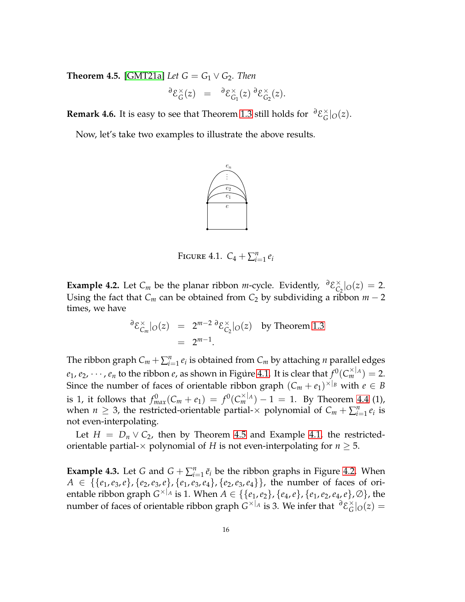<span id="page-15-1"></span>**Theorem 4.5.** [\[GMT21a\]](#page-17-0) *Let*  $G = G_1 \vee G_2$ *. Then* 

$$
\partial \mathcal{E}_G^{\times}(z) = \partial \mathcal{E}_{G_1}^{\times}(z) \partial \mathcal{E}_{G_2}^{\times}(z).
$$

**Remark 4.6.** It is easy to see that Theorem [1.3](#page-1-2) still holds for  $\frac{\partial \mathcal{E}}{\partial G}$  $\int_G$ | $O(z)$ .

<span id="page-15-0"></span>Now, let's take two examples to illustrate the above results.



FIGURE 4.1.  $C_4 + \sum_{i=1}^n e_i$ 

**Example 4.2.** Let  $C_m$  be the planar ribbon *m*-cycle. Evidently,  $\partial \mathcal{E}_{C}^{\times}$  $C_2$ |*O*(*z*) = 2. Using the fact that  $C_m$  can be obtained from  $C_2$  by subdividing a ribbon  $m-2$ times, we have

$$
\partial \mathcal{E}_{C_m}^{\times}|_{O}(z) = 2^{m-2} \partial \mathcal{E}_{C_2}^{\times}|_{O}(z) \text{ by Theorem 1.3}
$$

$$
= 2^{m-1}.
$$

 $e_1, e_2, \cdots, e_n$  to the ribbon  $e$ , as shown in Figure [4.1.](#page-15-0) It is clear that  $f^0(C_m^{\times|A|})=2.$ The ribbon graph  $C_m + \sum_{i=1}^n e_i$  is obtained from  $C_m$  by attaching *n* parallel edges Since the number of faces of orientable ribbon graph  $(C_m + e_1)^{\times|_B}$  with  $e \in B$ is 1, it follows that  $f_{max}^0(C_m + e_1) = f^0(C_m^{\times |A|}) - 1 = 1$ . By Theorem [4.4](#page-11-1) (1), when *n*  $\geq$  3, the restricted-orientable partial- $\times$  polynomial of  $C_m + \sum_{i=1}^n e_i$  is not even-interpolating.

Let  $H = D_n \vee C_2$ , then by Theorem [4.5](#page-15-1) and Example [4.1,](#page-8-1) the restrictedorientable partial- $\times$  polynomial of *H* is not even-interpolating for  $n \geq 5$ .

**Example 4.3.** Let *G* and  $G + \sum_{i=1}^{n} \bar{e}_i$  be the ribbon graphs in Figure [4.2.](#page-16-6) When  $A \in \{ \{e_1, e_3, e\}, \{e_2, e_3, e\}, \{e_1, e_3, e_4\}, \{e_2, e_3, e_4\} \}$ , the number of faces of orientable ribbon graph  $G^{\times|_A}$  is 1. When  $A \in \{\{e_1,e_2\}, \{e_4,e\}, \{e_1,e_2,e_4,e\}, \varnothing\}$ , the number of faces of orientable ribbon graph  $G^{\times|_A}$  is 3. We infer that  $\frac{\partial \mathcal{E}^{\times}_{G}}{\partial G}$  $G$ cairchean  $G$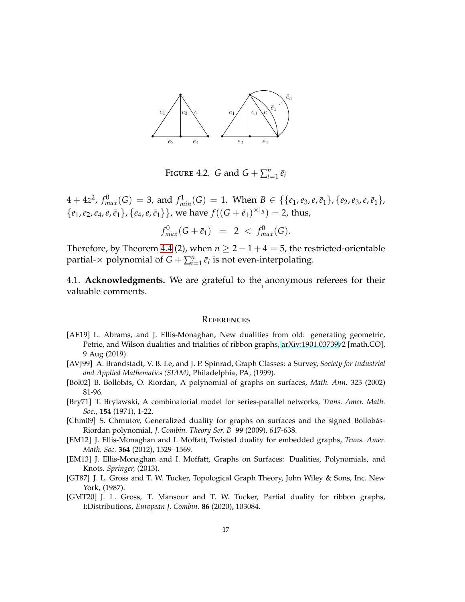<span id="page-16-6"></span>

FIGURE 4.2. *G* and  $G + \sum_{i=1}^{n} \bar{e}_i$ 

 $4 + 4z^2$ ,  $f_{max}^0(G) = 3$ , and  $f_{min}^1(G) = 1$ . When  $B \in \{\{e_1, e_3, e, \bar{e}_1\}, \{e_2, e_3, e, \bar{e}_1\},\}$  ${e_1, e_2, e_4, e, \bar{e}_1}, {e_4, e, \bar{e}_1}$ , we have  $f((G + \bar{e}_1)^{\times |B|}) = 2$ , thus,

$$
f_{max}^0(G + \bar{e}_1) = 2 < f_{max}^0(G).
$$

Therefore, by Theorem [4.4](#page-11-1) (2), when  $n \ge 2 - 1 + 4 = 5$ , the restricted-orientable partial- $\times$  polynomial of  $G + \sum_{i=1}^{n} \bar{e}_i$  is not even-interpolating.

1 4.1. **Acknowledgments.** We are grateful to the anonymous referees for their valuable comments.

#### **REFERENCES**

- <span id="page-16-2"></span>[AE19] L. Abrams, and J. Ellis-Monaghan, New dualities from old: generating geometric, Petrie, and Wilson dualities and trialities of ribbon graphs, [arXiv:1901.03739v](http://arxiv.org/abs/1901.03739)2 [math.CO], 9 Aug (2019).
- <span id="page-16-9"></span>[AVJ99] A. Brandstadt, V. B. Le, and J. P. Spinrad, Graph Classes: a Survey, *Society for Industrial and Applied Mathematics (SIAM)*, Philadelphia, PA, (1999).
- <span id="page-16-7"></span>[Bol02] B. Bollob*a*´s, O. Riordan, A polynomial of graphs on surfaces, *Math. Ann.* 323 (2002) 81-96.
- <span id="page-16-8"></span>[Bry71] T. Brylawski, A combinatorial model for series-parallel networks, *Trans. Amer. Math. Soc.*, **154** (1971), 1-22.
- <span id="page-16-0"></span>[Chm09] S. Chmutov, Generalized duality for graphs on surfaces and the signed Bollobás-Riordan polynomial, *J. Combin. Theory Ser. B* **99** (2009), 617-638.
- <span id="page-16-1"></span>[EM12] J. Ellis-Monaghan and I. Moffatt, Twisted duality for embedded graphs, *Trans. Amer. Math. Soc.* **364** (2012), 1529–1569.
- <span id="page-16-3"></span>[EM13] J. Ellis-Monaghan and I. Moffatt, Graphs on Surfaces: Dualities, Polynomials, and Knots. *Springer,* (2013).
- <span id="page-16-5"></span>[GT87] J. L. Gross and T. W. Tucker, Topological Graph Theory, John Wiley & Sons, Inc. New York, (1987).
- <span id="page-16-4"></span>[GMT20] J. L. Gross, T. Mansour and T. W. Tucker, Partial duality for ribbon graphs, I:Distributions, *European J. Combin.* **86** (2020), 103084.